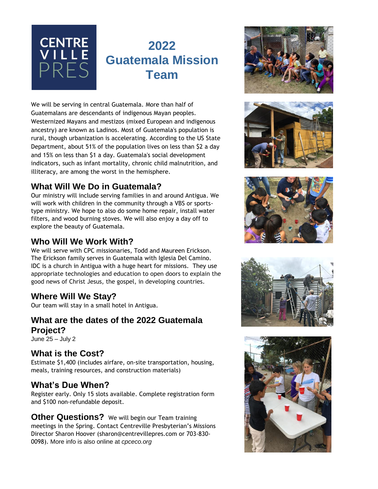

# **2022 Guatemala Mission Team**

We will be serving in central Guatemala. More than half of Guatemalans are descendants of indigenous Mayan peoples. Westernized Mayans and mestizos (mixed European and indigenous ancestry) are known as Ladinos. Most of Guatemala's population is rural, though urbanization is accelerating. According to the US State Department, about 51% of the population lives on less than \$2 a day and 15% on less than \$1 a day. Guatemala's social development indicators, such as infant mortality, chronic child malnutrition, and illiteracy, are among the worst in the hemisphere.

#### **What Will We Do in Guatemala?**

Our ministry will include serving families in and around Antigua. We will work with children in the community through a VBS or sportstype ministry. We hope to also do some home repair, install water filters, and wood burning stoves. We will also enjoy a day off to explore the beauty of Guatemala.

### **Who Will We Work With?**

We will serve with CPC missionaries, Todd and Maureen Erickson. The Erickson family serves in Guatemala with Iglesia Del Camino. IDC is a church in Antigua with a huge heart for missions. They use appropriate technologies and education to open doors to explain the good news of Christ Jesus, the gospel, in developing countries.

#### **Where Will We Stay?**

Our team will stay in a small hotel in Antigua.

#### **What are the dates of the 2022 Guatemala Project?**

June 25 – July 2

#### **What is the Cost?**

Estimate \$1,400 (includes airfare, on-site transportation, housing, meals, training resources, and construction materials)

#### **What's Due When?**

Register early. Only 15 slots available. Complete registration form and \$100 non-refundable deposit.

**Other Questions?** We will begin our Team training meetings in the Spring. Contact Centreville Presbyterian's Missions Director Sharon Hoover (sharon@centrevillepres.com or 703-830- 0098). More info is also online at *cpceco.org*